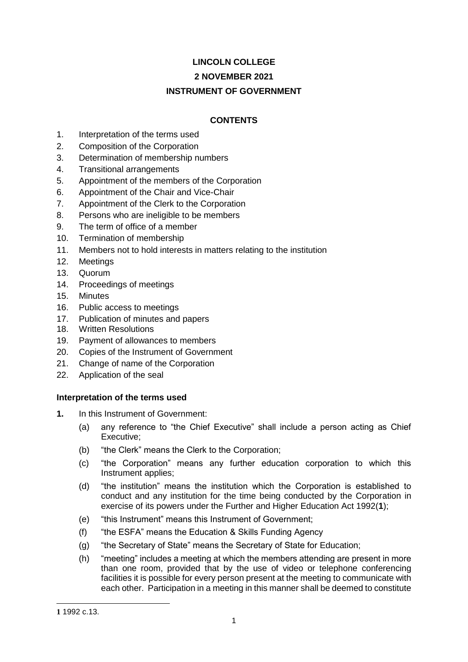# **LINCOLN COLLEGE**

# **2 NOVEMBER 2021**

# **INSTRUMENT OF GOVERNMENT**

# **CONTENTS**

- 1. Interpretation of the terms used
- 2. Composition of the Corporation
- 3. Determination of membership numbers
- 4. Transitional arrangements
- 5. Appointment of the members of the Corporation
- 6. Appointment of the Chair and Vice-Chair
- 7. Appointment of the Clerk to the Corporation
- 8. Persons who are ineligible to be members
- 9. The term of office of a member
- 10. Termination of membership
- 11. Members not to hold interests in matters relating to the institution
- 12. Meetings
- 13. Quorum
- 14. Proceedings of meetings
- 15. Minutes
- 16. Public access to meetings
- 17. Publication of minutes and papers
- 18. Written Resolutions
- 19. Payment of allowances to members
- 20. Copies of the Instrument of Government
- 21. Change of name of the Corporation
- 22. Application of the seal

## **Interpretation of the terms used**

- **1.** In this Instrument of Government:
	- (a) any reference to "the Chief Executive" shall include a person acting as Chief Executive;
	- (b) "the Clerk" means the Clerk to the Corporation;
	- (c) "the Corporation" means any further education corporation to which this Instrument applies;
	- (d) "the institution" means the institution which the Corporation is established to conduct and any institution for the time being conducted by the Corporation in exercise of its powers under the Further and Higher Education Act 1992(**1**);
	- (e) "this Instrument" means this Instrument of Government;
	- (f) "the ESFA" means the Education & Skills Funding Agency
	- (g) "the Secretary of State" means the Secretary of State for Education;
	- (h) "meeting" includes a meeting at which the members attending are present in more than one room, provided that by the use of video or telephone conferencing facilities it is possible for every person present at the meeting to communicate with each other. Participation in a meeting in this manner shall be deemed to constitute

-

**<sup>1</sup>** 1992 c.13.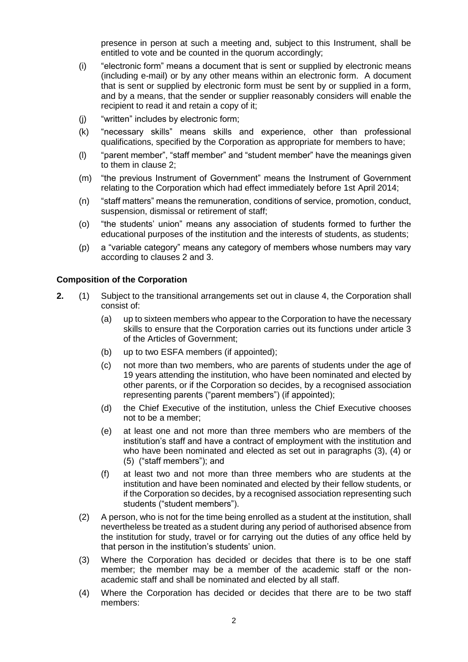presence in person at such a meeting and, subject to this Instrument, shall be entitled to vote and be counted in the quorum accordingly;

- (i) "electronic form" means a document that is sent or supplied by electronic means (including e-mail) or by any other means within an electronic form. A document that is sent or supplied by electronic form must be sent by or supplied in a form, and by a means, that the sender or supplier reasonably considers will enable the recipient to read it and retain a copy of it;
- (j) "written" includes by electronic form;
- (k) "necessary skills" means skills and experience, other than professional qualifications, specified by the Corporation as appropriate for members to have;
- (l) "parent member", "staff member" and "student member" have the meanings given to them in clause 2;
- (m) "the previous Instrument of Government" means the Instrument of Government relating to the Corporation which had effect immediately before 1st April 2014;
- (n) "staff matters" means the remuneration, conditions of service, promotion, conduct, suspension, dismissal or retirement of staff;
- (o) "the students' union" means any association of students formed to further the educational purposes of the institution and the interests of students, as students;
- (p) a "variable category" means any category of members whose numbers may vary according to clauses 2 and 3.

### **Composition of the Corporation**

- **2.** (1) Subject to the transitional arrangements set out in clause 4, the Corporation shall consist of:
	- (a) up to sixteen members who appear to the Corporation to have the necessary skills to ensure that the Corporation carries out its functions under article 3 of the Articles of Government;
	- (b) up to two ESFA members (if appointed);
	- (c) not more than two members, who are parents of students under the age of 19 years attending the institution, who have been nominated and elected by other parents, or if the Corporation so decides, by a recognised association representing parents ("parent members") (if appointed);
	- (d) the Chief Executive of the institution, unless the Chief Executive chooses not to be a member;
	- (e) at least one and not more than three members who are members of the institution's staff and have a contract of employment with the institution and who have been nominated and elected as set out in paragraphs (3), (4) or (5) ("staff members"); and
	- (f) at least two and not more than three members who are students at the institution and have been nominated and elected by their fellow students, or if the Corporation so decides, by a recognised association representing such students ("student members").
	- (2) A person, who is not for the time being enrolled as a student at the institution, shall nevertheless be treated as a student during any period of authorised absence from the institution for study, travel or for carrying out the duties of any office held by that person in the institution's students' union.
	- (3) Where the Corporation has decided or decides that there is to be one staff member; the member may be a member of the academic staff or the nonacademic staff and shall be nominated and elected by all staff.
	- (4) Where the Corporation has decided or decides that there are to be two staff members: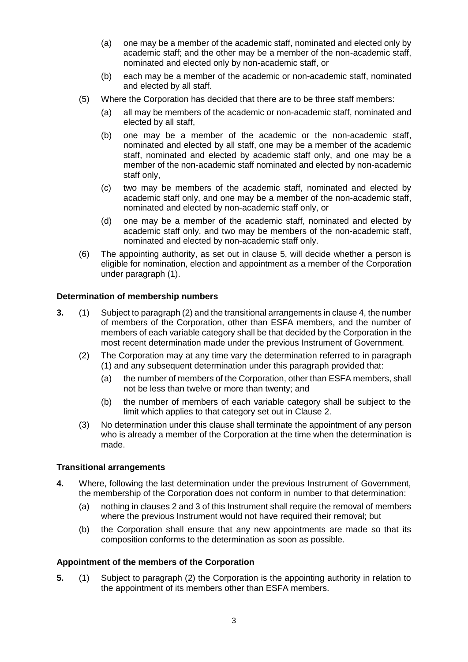- (a) one may be a member of the academic staff, nominated and elected only by academic staff; and the other may be a member of the non-academic staff, nominated and elected only by non-academic staff, or
- (b) each may be a member of the academic or non-academic staff, nominated and elected by all staff.
- (5) Where the Corporation has decided that there are to be three staff members:
	- (a) all may be members of the academic or non-academic staff, nominated and elected by all staff,
	- (b) one may be a member of the academic or the non-academic staff, nominated and elected by all staff, one may be a member of the academic staff, nominated and elected by academic staff only, and one may be a member of the non-academic staff nominated and elected by non-academic staff only,
	- (c) two may be members of the academic staff, nominated and elected by academic staff only, and one may be a member of the non-academic staff, nominated and elected by non-academic staff only, or
	- (d) one may be a member of the academic staff, nominated and elected by academic staff only, and two may be members of the non-academic staff, nominated and elected by non-academic staff only.
- (6) The appointing authority, as set out in clause 5, will decide whether a person is eligible for nomination, election and appointment as a member of the Corporation under paragraph (1).

## **Determination of membership numbers**

- **3.** (1) Subject to paragraph (2) and the transitional arrangements in clause 4, the number of members of the Corporation, other than ESFA members, and the number of members of each variable category shall be that decided by the Corporation in the most recent determination made under the previous Instrument of Government.
	- (2) The Corporation may at any time vary the determination referred to in paragraph (1) and any subsequent determination under this paragraph provided that:
		- (a) the number of members of the Corporation, other than ESFA members, shall not be less than twelve or more than twenty; and
		- (b) the number of members of each variable category shall be subject to the limit which applies to that category set out in Clause 2.
	- (3) No determination under this clause shall terminate the appointment of any person who is already a member of the Corporation at the time when the determination is made.

## **Transitional arrangements**

- **4.** Where, following the last determination under the previous Instrument of Government, the membership of the Corporation does not conform in number to that determination:
	- (a) nothing in clauses 2 and 3 of this Instrument shall require the removal of members where the previous Instrument would not have required their removal; but
	- (b) the Corporation shall ensure that any new appointments are made so that its composition conforms to the determination as soon as possible.

### **Appointment of the members of the Corporation**

**5.** (1) Subject to paragraph (2) the Corporation is the appointing authority in relation to the appointment of its members other than ESFA members.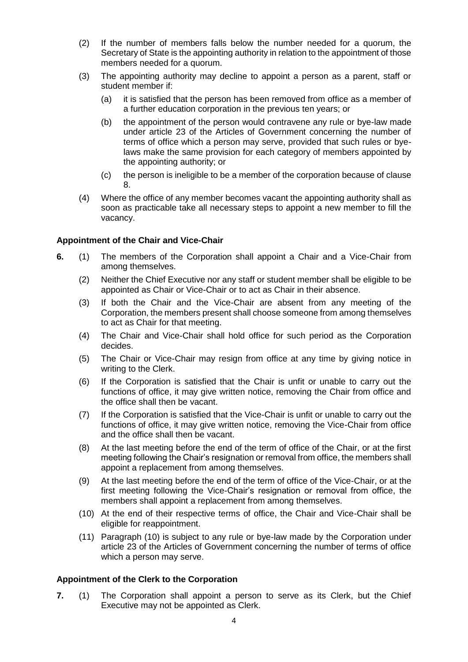- (2) If the number of members falls below the number needed for a quorum, the Secretary of State is the appointing authority in relation to the appointment of those members needed for a quorum.
- (3) The appointing authority may decline to appoint a person as a parent, staff or student member if:
	- (a) it is satisfied that the person has been removed from office as a member of a further education corporation in the previous ten years; or
	- (b) the appointment of the person would contravene any rule or bye-law made under article 23 of the Articles of Government concerning the number of terms of office which a person may serve, provided that such rules or byelaws make the same provision for each category of members appointed by the appointing authority; or
	- (c) the person is ineligible to be a member of the corporation because of clause 8.
- (4) Where the office of any member becomes vacant the appointing authority shall as soon as practicable take all necessary steps to appoint a new member to fill the vacancy.

## **Appointment of the Chair and Vice-Chair**

- **6.** (1) The members of the Corporation shall appoint a Chair and a Vice-Chair from among themselves.
	- (2) Neither the Chief Executive nor any staff or student member shall be eligible to be appointed as Chair or Vice-Chair or to act as Chair in their absence.
	- (3) If both the Chair and the Vice-Chair are absent from any meeting of the Corporation, the members present shall choose someone from among themselves to act as Chair for that meeting.
	- (4) The Chair and Vice-Chair shall hold office for such period as the Corporation decides.
	- (5) The Chair or Vice-Chair may resign from office at any time by giving notice in writing to the Clerk.
	- (6) If the Corporation is satisfied that the Chair is unfit or unable to carry out the functions of office, it may give written notice, removing the Chair from office and the office shall then be vacant.
	- (7) If the Corporation is satisfied that the Vice-Chair is unfit or unable to carry out the functions of office, it may give written notice, removing the Vice-Chair from office and the office shall then be vacant.
	- (8) At the last meeting before the end of the term of office of the Chair, or at the first meeting following the Chair's resignation or removal from office, the members shall appoint a replacement from among themselves.
	- (9) At the last meeting before the end of the term of office of the Vice-Chair, or at the first meeting following the Vice-Chair's resignation or removal from office, the members shall appoint a replacement from among themselves.
	- (10) At the end of their respective terms of office, the Chair and Vice-Chair shall be eligible for reappointment.
	- (11) Paragraph (10) is subject to any rule or bye-law made by the Corporation under article 23 of the Articles of Government concerning the number of terms of office which a person may serve.

### **Appointment of the Clerk to the Corporation**

**7.** (1) The Corporation shall appoint a person to serve as its Clerk, but the Chief Executive may not be appointed as Clerk.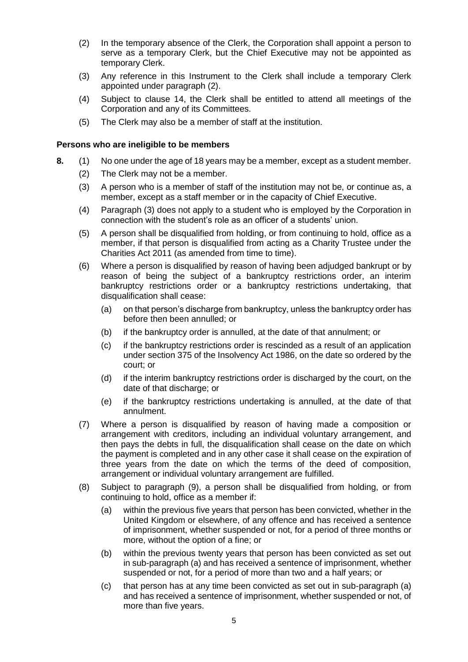- (2) In the temporary absence of the Clerk, the Corporation shall appoint a person to serve as a temporary Clerk, but the Chief Executive may not be appointed as temporary Clerk.
- (3) Any reference in this Instrument to the Clerk shall include a temporary Clerk appointed under paragraph (2).
- (4) Subject to clause 14, the Clerk shall be entitled to attend all meetings of the Corporation and any of its Committees.
- (5) The Clerk may also be a member of staff at the institution.

## **Persons who are ineligible to be members**

- **8.** (1) No one under the age of 18 years may be a member, except as a student member.
	- (2) The Clerk may not be a member.
	- (3) A person who is a member of staff of the institution may not be, or continue as, a member, except as a staff member or in the capacity of Chief Executive.
	- (4) Paragraph (3) does not apply to a student who is employed by the Corporation in connection with the student's role as an officer of a students' union.
	- (5) A person shall be disqualified from holding, or from continuing to hold, office as a member, if that person is disqualified from acting as a Charity Trustee under the Charities Act 2011 (as amended from time to time).
	- (6) Where a person is disqualified by reason of having been adjudged bankrupt or by reason of being the subject of a bankruptcy restrictions order, an interim bankruptcy restrictions order or a bankruptcy restrictions undertaking, that disqualification shall cease:
		- (a) on that person's discharge from bankruptcy, unless the bankruptcy order has before then been annulled; or
		- (b) if the bankruptcy order is annulled, at the date of that annulment; or
		- (c) if the bankruptcy restrictions order is rescinded as a result of an application under section 375 of the Insolvency Act 1986, on the date so ordered by the court; or
		- (d) if the interim bankruptcy restrictions order is discharged by the court, on the date of that discharge; or
		- (e) if the bankruptcy restrictions undertaking is annulled, at the date of that annulment.
	- (7) Where a person is disqualified by reason of having made a composition or arrangement with creditors, including an individual voluntary arrangement, and then pays the debts in full, the disqualification shall cease on the date on which the payment is completed and in any other case it shall cease on the expiration of three years from the date on which the terms of the deed of composition, arrangement or individual voluntary arrangement are fulfilled.
	- (8) Subject to paragraph (9), a person shall be disqualified from holding, or from continuing to hold, office as a member if:
		- (a) within the previous five years that person has been convicted, whether in the United Kingdom or elsewhere, of any offence and has received a sentence of imprisonment, whether suspended or not, for a period of three months or more, without the option of a fine; or
		- (b) within the previous twenty years that person has been convicted as set out in sub-paragraph (a) and has received a sentence of imprisonment, whether suspended or not, for a period of more than two and a half years; or
		- (c) that person has at any time been convicted as set out in sub-paragraph (a) and has received a sentence of imprisonment, whether suspended or not, of more than five years.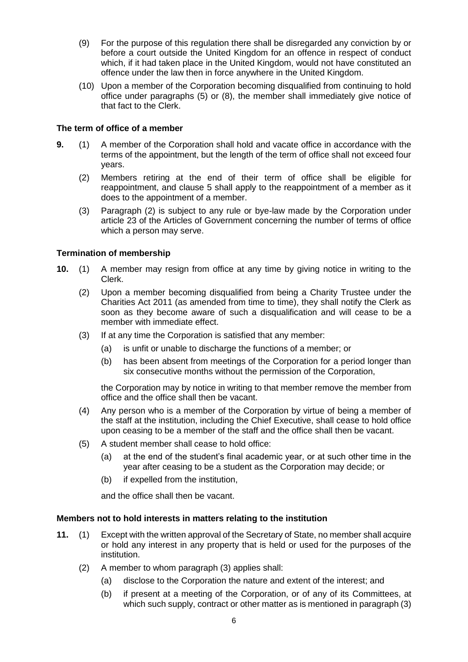- (9) For the purpose of this regulation there shall be disregarded any conviction by or before a court outside the United Kingdom for an offence in respect of conduct which, if it had taken place in the United Kingdom, would not have constituted an offence under the law then in force anywhere in the United Kingdom.
- (10) Upon a member of the Corporation becoming disqualified from continuing to hold office under paragraphs (5) or (8), the member shall immediately give notice of that fact to the Clerk.

# **The term of office of a member**

- **9.** (1) A member of the Corporation shall hold and vacate office in accordance with the terms of the appointment, but the length of the term of office shall not exceed four years.
	- (2) Members retiring at the end of their term of office shall be eligible for reappointment, and clause 5 shall apply to the reappointment of a member as it does to the appointment of a member.
	- (3) Paragraph (2) is subject to any rule or bye-law made by the Corporation under article 23 of the Articles of Government concerning the number of terms of office which a person may serve.

# **Termination of membership**

- **10.** (1) A member may resign from office at any time by giving notice in writing to the Clerk.
	- (2) Upon a member becoming disqualified from being a Charity Trustee under the Charities Act 2011 (as amended from time to time), they shall notify the Clerk as soon as they become aware of such a disqualification and will cease to be a member with immediate effect.
	- (3) If at any time the Corporation is satisfied that any member:
		- (a) is unfit or unable to discharge the functions of a member; or
		- (b) has been absent from meetings of the Corporation for a period longer than six consecutive months without the permission of the Corporation,

the Corporation may by notice in writing to that member remove the member from office and the office shall then be vacant.

- (4) Any person who is a member of the Corporation by virtue of being a member of the staff at the institution, including the Chief Executive, shall cease to hold office upon ceasing to be a member of the staff and the office shall then be vacant.
- (5) A student member shall cease to hold office:
	- (a) at the end of the student's final academic year, or at such other time in the year after ceasing to be a student as the Corporation may decide; or
	- (b) if expelled from the institution,

and the office shall then be vacant.

## **Members not to hold interests in matters relating to the institution**

- **11.** (1) Except with the written approval of the Secretary of State, no member shall acquire or hold any interest in any property that is held or used for the purposes of the institution.
	- (2) A member to whom paragraph (3) applies shall:
		- (a) disclose to the Corporation the nature and extent of the interest; and
		- (b) if present at a meeting of the Corporation, or of any of its Committees, at which such supply, contract or other matter as is mentioned in paragraph (3)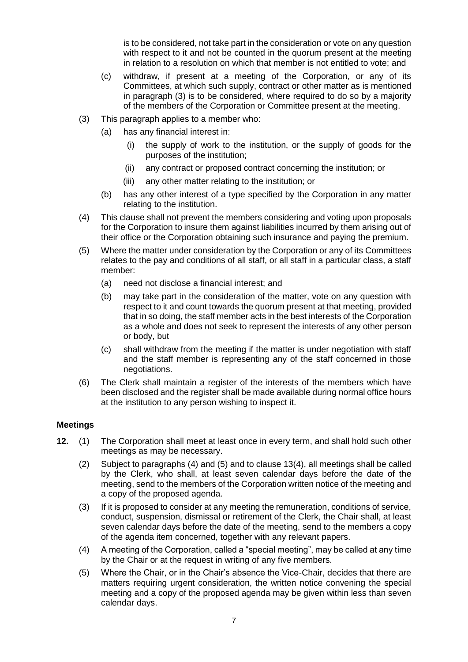is to be considered, not take part in the consideration or vote on any question with respect to it and not be counted in the quorum present at the meeting in relation to a resolution on which that member is not entitled to vote; and

- (c) withdraw, if present at a meeting of the Corporation, or any of its Committees, at which such supply, contract or other matter as is mentioned in paragraph (3) is to be considered, where required to do so by a majority of the members of the Corporation or Committee present at the meeting.
- (3) This paragraph applies to a member who:
	- (a) has any financial interest in:
		- (i) the supply of work to the institution, or the supply of goods for the purposes of the institution;
		- (ii) any contract or proposed contract concerning the institution; or
		- (iii) any other matter relating to the institution; or
	- (b) has any other interest of a type specified by the Corporation in any matter relating to the institution.
- (4) This clause shall not prevent the members considering and voting upon proposals for the Corporation to insure them against liabilities incurred by them arising out of their office or the Corporation obtaining such insurance and paying the premium.
- (5) Where the matter under consideration by the Corporation or any of its Committees relates to the pay and conditions of all staff, or all staff in a particular class, a staff member:
	- (a) need not disclose a financial interest; and
	- (b) may take part in the consideration of the matter, vote on any question with respect to it and count towards the quorum present at that meeting, provided that in so doing, the staff member acts in the best interests of the Corporation as a whole and does not seek to represent the interests of any other person or body, but
	- (c) shall withdraw from the meeting if the matter is under negotiation with staff and the staff member is representing any of the staff concerned in those negotiations.
- (6) The Clerk shall maintain a register of the interests of the members which have been disclosed and the register shall be made available during normal office hours at the institution to any person wishing to inspect it.

## **Meetings**

- **12.** (1) The Corporation shall meet at least once in every term, and shall hold such other meetings as may be necessary.
	- (2) Subject to paragraphs (4) and (5) and to clause 13(4), all meetings shall be called by the Clerk, who shall, at least seven calendar days before the date of the meeting, send to the members of the Corporation written notice of the meeting and a copy of the proposed agenda.
	- (3) If it is proposed to consider at any meeting the remuneration, conditions of service, conduct, suspension, dismissal or retirement of the Clerk, the Chair shall, at least seven calendar days before the date of the meeting, send to the members a copy of the agenda item concerned, together with any relevant papers.
	- (4) A meeting of the Corporation, called a "special meeting", may be called at any time by the Chair or at the request in writing of any five members.
	- (5) Where the Chair, or in the Chair's absence the Vice-Chair, decides that there are matters requiring urgent consideration, the written notice convening the special meeting and a copy of the proposed agenda may be given within less than seven calendar days.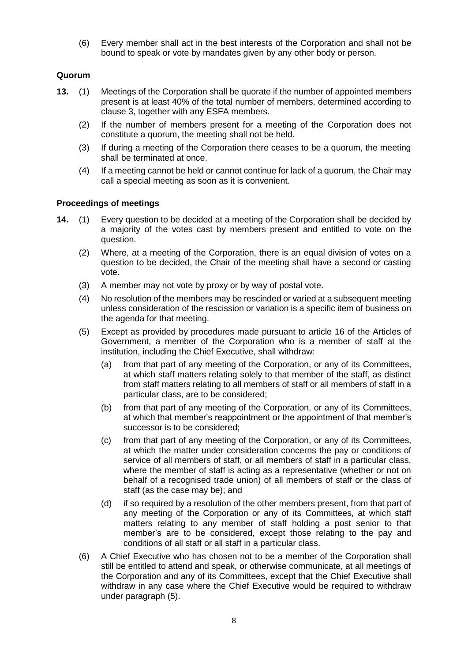(6) Every member shall act in the best interests of the Corporation and shall not be bound to speak or vote by mandates given by any other body or person.

## **Quorum**

- **13.** (1) Meetings of the Corporation shall be quorate if the number of appointed members present is at least 40% of the total number of members, determined according to clause 3, together with any ESFA members.
	- (2) If the number of members present for a meeting of the Corporation does not constitute a quorum, the meeting shall not be held.
	- (3) If during a meeting of the Corporation there ceases to be a quorum, the meeting shall be terminated at once.
	- (4) If a meeting cannot be held or cannot continue for lack of a quorum, the Chair may call a special meeting as soon as it is convenient.

## **Proceedings of meetings**

- **14.** (1) Every question to be decided at a meeting of the Corporation shall be decided by a majority of the votes cast by members present and entitled to vote on the question.
	- (2) Where, at a meeting of the Corporation, there is an equal division of votes on a question to be decided, the Chair of the meeting shall have a second or casting vote.
	- (3) A member may not vote by proxy or by way of postal vote.
	- (4) No resolution of the members may be rescinded or varied at a subsequent meeting unless consideration of the rescission or variation is a specific item of business on the agenda for that meeting.
	- (5) Except as provided by procedures made pursuant to article 16 of the Articles of Government, a member of the Corporation who is a member of staff at the institution, including the Chief Executive, shall withdraw:
		- (a) from that part of any meeting of the Corporation, or any of its Committees, at which staff matters relating solely to that member of the staff, as distinct from staff matters relating to all members of staff or all members of staff in a particular class, are to be considered;
		- (b) from that part of any meeting of the Corporation, or any of its Committees, at which that member's reappointment or the appointment of that member's successor is to be considered;
		- (c) from that part of any meeting of the Corporation, or any of its Committees, at which the matter under consideration concerns the pay or conditions of service of all members of staff, or all members of staff in a particular class, where the member of staff is acting as a representative (whether or not on behalf of a recognised trade union) of all members of staff or the class of staff (as the case may be); and
		- (d) if so required by a resolution of the other members present, from that part of any meeting of the Corporation or any of its Committees, at which staff matters relating to any member of staff holding a post senior to that member's are to be considered, except those relating to the pay and conditions of all staff or all staff in a particular class.
	- (6) A Chief Executive who has chosen not to be a member of the Corporation shall still be entitled to attend and speak, or otherwise communicate, at all meetings of the Corporation and any of its Committees, except that the Chief Executive shall withdraw in any case where the Chief Executive would be required to withdraw under paragraph (5).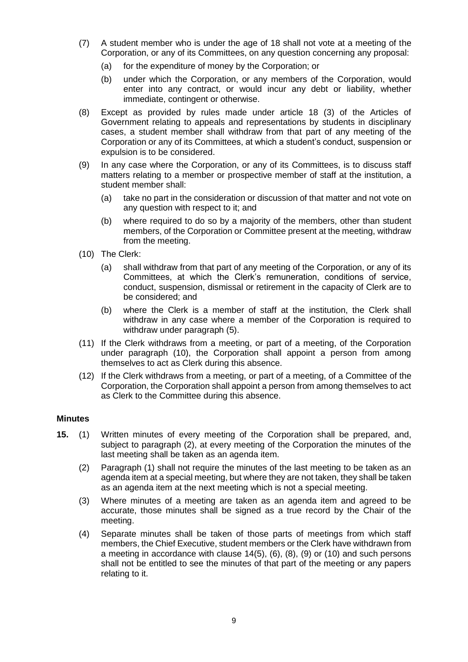- (7) A student member who is under the age of 18 shall not vote at a meeting of the Corporation, or any of its Committees, on any question concerning any proposal:
	- (a) for the expenditure of money by the Corporation; or
	- (b) under which the Corporation, or any members of the Corporation, would enter into any contract, or would incur any debt or liability, whether immediate, contingent or otherwise.
- (8) Except as provided by rules made under article 18 (3) of the Articles of Government relating to appeals and representations by students in disciplinary cases, a student member shall withdraw from that part of any meeting of the Corporation or any of its Committees, at which a student's conduct, suspension or expulsion is to be considered.
- (9) In any case where the Corporation, or any of its Committees, is to discuss staff matters relating to a member or prospective member of staff at the institution, a student member shall:
	- (a) take no part in the consideration or discussion of that matter and not vote on any question with respect to it; and
	- (b) where required to do so by a majority of the members, other than student members, of the Corporation or Committee present at the meeting, withdraw from the meeting.
- (10) The Clerk:
	- (a) shall withdraw from that part of any meeting of the Corporation, or any of its Committees, at which the Clerk's remuneration, conditions of service, conduct, suspension, dismissal or retirement in the capacity of Clerk are to be considered; and
	- (b) where the Clerk is a member of staff at the institution, the Clerk shall withdraw in any case where a member of the Corporation is required to withdraw under paragraph (5).
- (11) If the Clerk withdraws from a meeting, or part of a meeting, of the Corporation under paragraph (10), the Corporation shall appoint a person from among themselves to act as Clerk during this absence.
- (12) If the Clerk withdraws from a meeting, or part of a meeting, of a Committee of the Corporation, the Corporation shall appoint a person from among themselves to act as Clerk to the Committee during this absence.

### **Minutes**

- **15.** (1) Written minutes of every meeting of the Corporation shall be prepared, and, subject to paragraph (2), at every meeting of the Corporation the minutes of the last meeting shall be taken as an agenda item.
	- (2) Paragraph (1) shall not require the minutes of the last meeting to be taken as an agenda item at a special meeting, but where they are not taken, they shall be taken as an agenda item at the next meeting which is not a special meeting.
	- (3) Where minutes of a meeting are taken as an agenda item and agreed to be accurate, those minutes shall be signed as a true record by the Chair of the meeting.
	- (4) Separate minutes shall be taken of those parts of meetings from which staff members, the Chief Executive, student members or the Clerk have withdrawn from a meeting in accordance with clause 14(5), (6), (8), (9) or (10) and such persons shall not be entitled to see the minutes of that part of the meeting or any papers relating to it.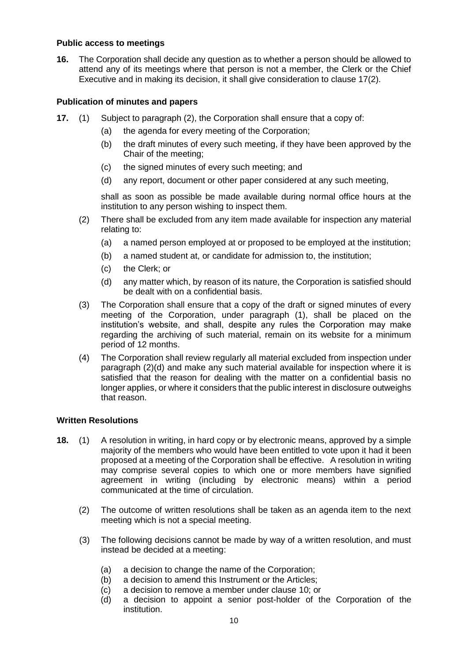## **Public access to meetings**

**16.** The Corporation shall decide any question as to whether a person should be allowed to attend any of its meetings where that person is not a member, the Clerk or the Chief Executive and in making its decision, it shall give consideration to clause 17(2).

# **Publication of minutes and papers**

- **17.** (1) Subject to paragraph (2), the Corporation shall ensure that a copy of:
	- (a) the agenda for every meeting of the Corporation;
	- (b) the draft minutes of every such meeting, if they have been approved by the Chair of the meeting;
	- (c) the signed minutes of every such meeting; and
	- (d) any report, document or other paper considered at any such meeting,

shall as soon as possible be made available during normal office hours at the institution to any person wishing to inspect them.

- (2) There shall be excluded from any item made available for inspection any material relating to:
	- (a) a named person employed at or proposed to be employed at the institution;
	- (b) a named student at, or candidate for admission to, the institution;
	- (c) the Clerk; or
	- (d) any matter which, by reason of its nature, the Corporation is satisfied should be dealt with on a confidential basis.
- (3) The Corporation shall ensure that a copy of the draft or signed minutes of every meeting of the Corporation, under paragraph (1), shall be placed on the institution's website, and shall, despite any rules the Corporation may make regarding the archiving of such material, remain on its website for a minimum period of 12 months.
- (4) The Corporation shall review regularly all material excluded from inspection under paragraph (2)(d) and make any such material available for inspection where it is satisfied that the reason for dealing with the matter on a confidential basis no longer applies, or where it considers that the public interest in disclosure outweighs that reason.

# **Written Resolutions**

- **18.** (1) A resolution in writing, in hard copy or by electronic means, approved by a simple majority of the members who would have been entitled to vote upon it had it been proposed at a meeting of the Corporation shall be effective. A resolution in writing may comprise several copies to which one or more members have signified agreement in writing (including by electronic means) within a period communicated at the time of circulation.
	- (2) The outcome of written resolutions shall be taken as an agenda item to the next meeting which is not a special meeting.
	- (3) The following decisions cannot be made by way of a written resolution, and must instead be decided at a meeting:
		- (a) a decision to change the name of the Corporation;
		- (b) a decision to amend this Instrument or the Articles;
		- (c) a decision to remove a member under clause 10; or
		- $\overrightarrow{d}$  a decision to appoint a senior post-holder of the Corporation of the institution.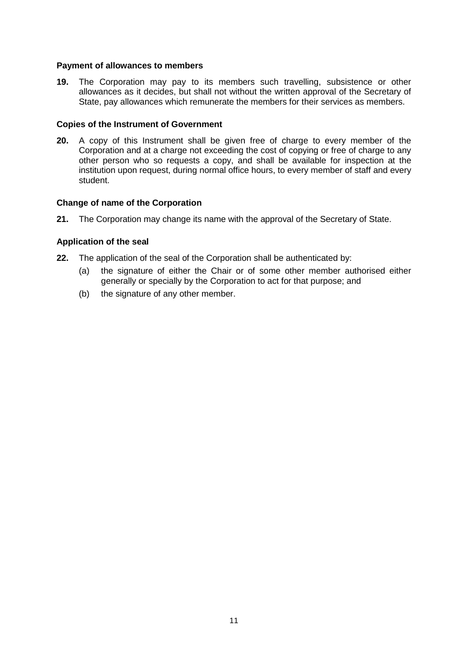## **Payment of allowances to members**

**19.** The Corporation may pay to its members such travelling, subsistence or other allowances as it decides, but shall not without the written approval of the Secretary of State, pay allowances which remunerate the members for their services as members.

## **Copies of the Instrument of Government**

**20.** A copy of this Instrument shall be given free of charge to every member of the Corporation and at a charge not exceeding the cost of copying or free of charge to any other person who so requests a copy, and shall be available for inspection at the institution upon request, during normal office hours, to every member of staff and every student.

# **Change of name of the Corporation**

**21.** The Corporation may change its name with the approval of the Secretary of State.

## **Application of the seal**

- **22.** The application of the seal of the Corporation shall be authenticated by:
	- (a) the signature of either the Chair or of some other member authorised either generally or specially by the Corporation to act for that purpose; and
	- (b) the signature of any other member.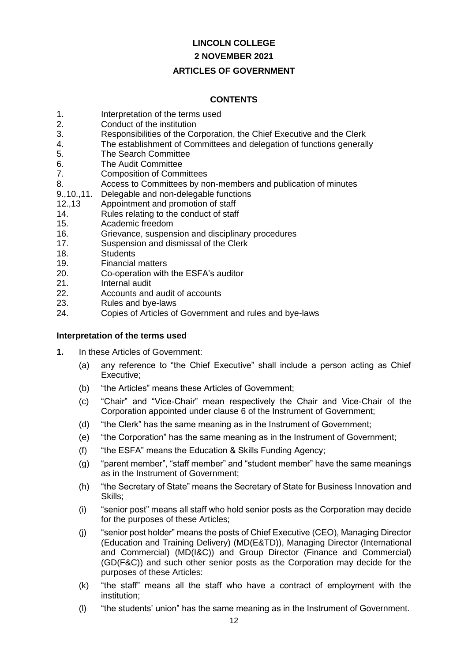# **LINCOLN COLLEGE**

# **2 NOVEMBER 2021**

# **ARTICLES OF GOVERNMENT**

# **CONTENTS**

- 1. Interpretation of the terms used
- 2. Conduct of the institution
- 3. Responsibilities of the Corporation, the Chief Executive and the Clerk
- 4. The establishment of Committees and delegation of functions generally
- 5. The Search Committee
- 6. The Audit Committee
- 7. Composition of Committees
- 8. Access to Committees by non-members and publication of minutes
- 9.,10.,11. Delegable and non-delegable functions
- 12.,13 Appointment and promotion of staff
- 14. Rules relating to the conduct of staff
- 15. Academic freedom
- 16. Grievance, suspension and disciplinary procedures
- 17. Suspension and dismissal of the Clerk
- 18. Students
- 19. Financial matters
- 20. Co-operation with the ESFA's auditor
- 21. Internal audit
- 22. Accounts and audit of accounts
- 23. Rules and bye-laws
- 24. Copies of Articles of Government and rules and bye-laws

# **Interpretation of the terms used**

- **1.** In these Articles of Government:
	- (a) any reference to "the Chief Executive" shall include a person acting as Chief Executive;
	- (b) "the Articles" means these Articles of Government;
	- (c) "Chair" and "Vice-Chair" mean respectively the Chair and Vice-Chair of the Corporation appointed under clause 6 of the Instrument of Government;
	- (d) "the Clerk" has the same meaning as in the Instrument of Government;
	- (e) "the Corporation" has the same meaning as in the Instrument of Government;
	- (f) "the ESFA" means the Education & Skills Funding Agency;
	- (g) "parent member", "staff member" and "student member" have the same meanings as in the Instrument of Government;
	- (h) "the Secretary of State" means the Secretary of State for Business Innovation and Skills;
	- (i) "senior post" means all staff who hold senior posts as the Corporation may decide for the purposes of these Articles;
	- (j) "senior post holder" means the posts of Chief Executive (CEO), Managing Director (Education and Training Delivery) (MD(E&TD)), Managing Director (International and Commercial) (MD(I&C)) and Group Director (Finance and Commercial) (GD(F&C)) and such other senior posts as the Corporation may decide for the purposes of these Articles:
	- (k) "the staff" means all the staff who have a contract of employment with the institution;
	- (l) "the students' union" has the same meaning as in the Instrument of Government.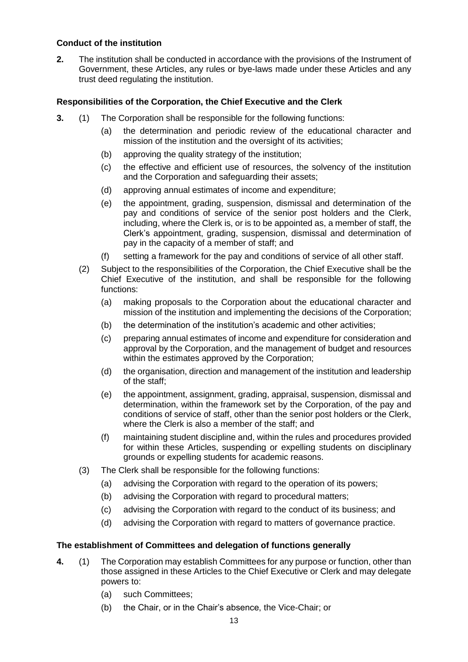## **Conduct of the institution**

**2.** The institution shall be conducted in accordance with the provisions of the Instrument of Government, these Articles, any rules or bye-laws made under these Articles and any trust deed regulating the institution.

# **Responsibilities of the Corporation, the Chief Executive and the Clerk**

- **3.** (1) The Corporation shall be responsible for the following functions:
	- (a) the determination and periodic review of the educational character and mission of the institution and the oversight of its activities;
	- (b) approving the quality strategy of the institution;
	- (c) the effective and efficient use of resources, the solvency of the institution and the Corporation and safeguarding their assets;
	- (d) approving annual estimates of income and expenditure;
	- (e) the appointment, grading, suspension, dismissal and determination of the pay and conditions of service of the senior post holders and the Clerk, including, where the Clerk is, or is to be appointed as, a member of staff, the Clerk's appointment, grading, suspension, dismissal and determination of pay in the capacity of a member of staff; and
	- (f) setting a framework for the pay and conditions of service of all other staff.
	- (2) Subject to the responsibilities of the Corporation, the Chief Executive shall be the Chief Executive of the institution, and shall be responsible for the following functions:
		- (a) making proposals to the Corporation about the educational character and mission of the institution and implementing the decisions of the Corporation;
		- (b) the determination of the institution's academic and other activities;
		- (c) preparing annual estimates of income and expenditure for consideration and approval by the Corporation, and the management of budget and resources within the estimates approved by the Corporation;
		- (d) the organisation, direction and management of the institution and leadership of the staff;
		- (e) the appointment, assignment, grading, appraisal, suspension, dismissal and determination, within the framework set by the Corporation, of the pay and conditions of service of staff, other than the senior post holders or the Clerk, where the Clerk is also a member of the staff; and
		- (f) maintaining student discipline and, within the rules and procedures provided for within these Articles, suspending or expelling students on disciplinary grounds or expelling students for academic reasons.
	- (3) The Clerk shall be responsible for the following functions:
		- (a) advising the Corporation with regard to the operation of its powers;
		- (b) advising the Corporation with regard to procedural matters;
		- (c) advising the Corporation with regard to the conduct of its business; and
		- (d) advising the Corporation with regard to matters of governance practice.

## **The establishment of Committees and delegation of functions generally**

- **4.** (1) The Corporation may establish Committees for any purpose or function, other than those assigned in these Articles to the Chief Executive or Clerk and may delegate powers to:
	- (a) such Committees;
	- (b) the Chair, or in the Chair's absence, the Vice-Chair; or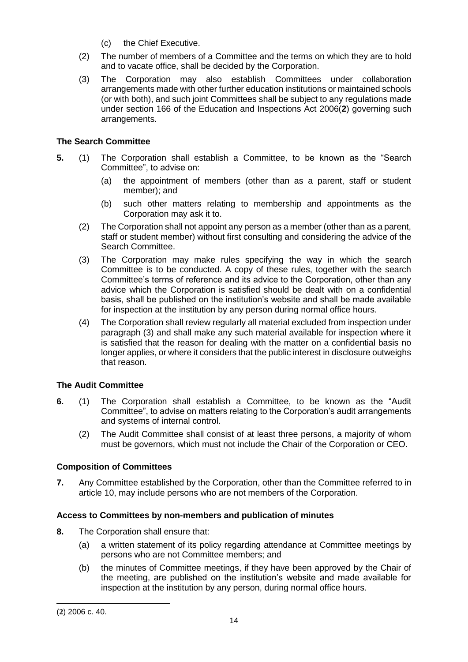- (c) the Chief Executive.
- (2) The number of members of a Committee and the terms on which they are to hold and to vacate office, shall be decided by the Corporation.
- (3) The Corporation may also establish Committees under collaboration arrangements made with other further education institutions or maintained schools (or with both), and such joint Committees shall be subject to any regulations made under section 166 of the Education and Inspections Act 2006(**2**) governing such arrangements.

# **The Search Committee**

- **5.** (1) The Corporation shall establish a Committee, to be known as the "Search Committee", to advise on:
	- (a) the appointment of members (other than as a parent, staff or student member); and
	- (b) such other matters relating to membership and appointments as the Corporation may ask it to.
	- (2) The Corporation shall not appoint any person as a member (other than as a parent, staff or student member) without first consulting and considering the advice of the Search Committee.
	- (3) The Corporation may make rules specifying the way in which the search Committee is to be conducted. A copy of these rules, together with the search Committee's terms of reference and its advice to the Corporation, other than any advice which the Corporation is satisfied should be dealt with on a confidential basis, shall be published on the institution's website and shall be made available for inspection at the institution by any person during normal office hours.
	- (4) The Corporation shall review regularly all material excluded from inspection under paragraph (3) and shall make any such material available for inspection where it is satisfied that the reason for dealing with the matter on a confidential basis no longer applies, or where it considers that the public interest in disclosure outweighs that reason.

# **The Audit Committee**

- **6.** (1) The Corporation shall establish a Committee, to be known as the "Audit Committee", to advise on matters relating to the Corporation's audit arrangements and systems of internal control.
	- (2) The Audit Committee shall consist of at least three persons, a majority of whom must be governors, which must not include the Chair of the Corporation or CEO.

## **Composition of Committees**

**7.** Any Committee established by the Corporation, other than the Committee referred to in article 10, may include persons who are not members of the Corporation.

## **Access to Committees by non-members and publication of minutes**

- **8.** The Corporation shall ensure that:
	- (a) a written statement of its policy regarding attendance at Committee meetings by persons who are not Committee members; and
	- (b) the minutes of Committee meetings, if they have been approved by the Chair of the meeting, are published on the institution's website and made available for inspection at the institution by any person, during normal office hours.

-

<sup>(</sup>**2**) 2006 c. 40.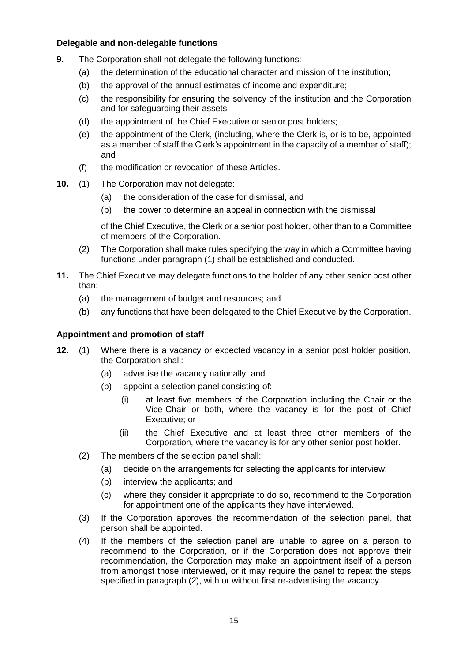# **Delegable and non-delegable functions**

- **9.** The Corporation shall not delegate the following functions:
	- (a) the determination of the educational character and mission of the institution;
	- (b) the approval of the annual estimates of income and expenditure;
	- (c) the responsibility for ensuring the solvency of the institution and the Corporation and for safeguarding their assets;
	- (d) the appointment of the Chief Executive or senior post holders;
	- (e) the appointment of the Clerk, (including, where the Clerk is, or is to be, appointed as a member of staff the Clerk's appointment in the capacity of a member of staff); and
	- (f) the modification or revocation of these Articles.
- **10.** (1) The Corporation may not delegate:
	- (a) the consideration of the case for dismissal, and
	- (b) the power to determine an appeal in connection with the dismissal

of the Chief Executive, the Clerk or a senior post holder, other than to a Committee of members of the Corporation.

- (2) The Corporation shall make rules specifying the way in which a Committee having functions under paragraph (1) shall be established and conducted.
- **11.** The Chief Executive may delegate functions to the holder of any other senior post other than:
	- (a) the management of budget and resources; and
	- (b) any functions that have been delegated to the Chief Executive by the Corporation.

## **Appointment and promotion of staff**

- **12.** (1) Where there is a vacancy or expected vacancy in a senior post holder position, the Corporation shall:
	- (a) advertise the vacancy nationally; and
	- (b) appoint a selection panel consisting of:
		- (i) at least five members of the Corporation including the Chair or the Vice-Chair or both, where the vacancy is for the post of Chief Executive; or
		- (ii) the Chief Executive and at least three other members of the Corporation, where the vacancy is for any other senior post holder.
	- (2) The members of the selection panel shall:
		- (a) decide on the arrangements for selecting the applicants for interview;
		- (b) interview the applicants; and
		- (c) where they consider it appropriate to do so, recommend to the Corporation for appointment one of the applicants they have interviewed.
	- (3) If the Corporation approves the recommendation of the selection panel, that person shall be appointed.
	- (4) If the members of the selection panel are unable to agree on a person to recommend to the Corporation, or if the Corporation does not approve their recommendation, the Corporation may make an appointment itself of a person from amongst those interviewed, or it may require the panel to repeat the steps specified in paragraph (2), with or without first re-advertising the vacancy.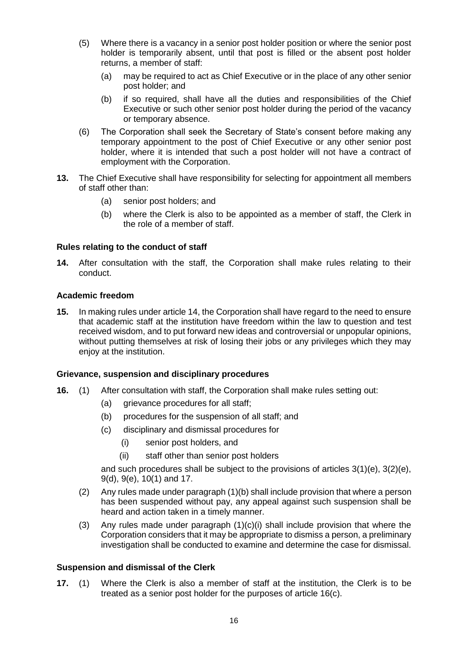- (5) Where there is a vacancy in a senior post holder position or where the senior post holder is temporarily absent, until that post is filled or the absent post holder returns, a member of staff:
	- (a) may be required to act as Chief Executive or in the place of any other senior post holder; and
	- (b) if so required, shall have all the duties and responsibilities of the Chief Executive or such other senior post holder during the period of the vacancy or temporary absence.
- (6) The Corporation shall seek the Secretary of State's consent before making any temporary appointment to the post of Chief Executive or any other senior post holder, where it is intended that such a post holder will not have a contract of employment with the Corporation.
- **13.** The Chief Executive shall have responsibility for selecting for appointment all members of staff other than:
	- (a) senior post holders; and
	- (b) where the Clerk is also to be appointed as a member of staff, the Clerk in the role of a member of staff.

## **Rules relating to the conduct of staff**

**14.** After consultation with the staff, the Corporation shall make rules relating to their conduct.

## **Academic freedom**

**15.** In making rules under article 14, the Corporation shall have regard to the need to ensure that academic staff at the institution have freedom within the law to question and test received wisdom, and to put forward new ideas and controversial or unpopular opinions, without putting themselves at risk of losing their jobs or any privileges which they may enjoy at the institution.

## **Grievance, suspension and disciplinary procedures**

- **16.** (1) After consultation with staff, the Corporation shall make rules setting out:
	- (a) grievance procedures for all staff:
	- (b) procedures for the suspension of all staff; and
	- (c) disciplinary and dismissal procedures for
		- (i) senior post holders, and
		- (ii) staff other than senior post holders

and such procedures shall be subject to the provisions of articles 3(1)(e), 3(2)(e), 9(d), 9(e), 10(1) and 17.

- (2) Any rules made under paragraph (1)(b) shall include provision that where a person has been suspended without pay, any appeal against such suspension shall be heard and action taken in a timely manner.
- (3) Any rules made under paragraph (1)(c)(i) shall include provision that where the Corporation considers that it may be appropriate to dismiss a person, a preliminary investigation shall be conducted to examine and determine the case for dismissal.

### **Suspension and dismissal of the Clerk**

**17.** (1) Where the Clerk is also a member of staff at the institution, the Clerk is to be treated as a senior post holder for the purposes of article 16(c).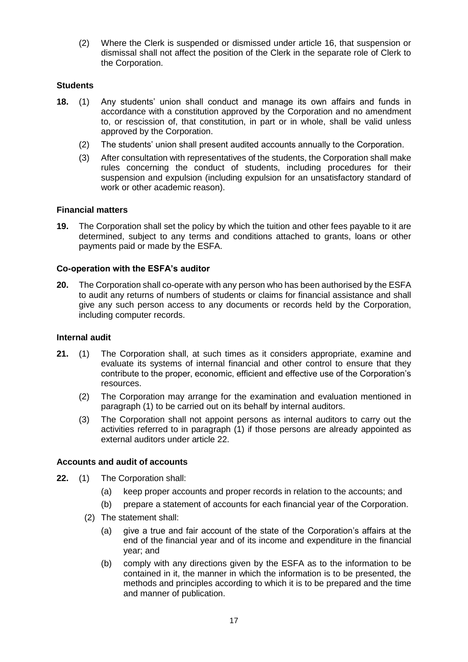(2) Where the Clerk is suspended or dismissed under article 16, that suspension or dismissal shall not affect the position of the Clerk in the separate role of Clerk to the Corporation.

# **Students**

- **18.** (1) Any students' union shall conduct and manage its own affairs and funds in accordance with a constitution approved by the Corporation and no amendment to, or rescission of, that constitution, in part or in whole, shall be valid unless approved by the Corporation.
	- (2) The students' union shall present audited accounts annually to the Corporation.
	- (3) After consultation with representatives of the students, the Corporation shall make rules concerning the conduct of students, including procedures for their suspension and expulsion (including expulsion for an unsatisfactory standard of work or other academic reason).

## **Financial matters**

**19.** The Corporation shall set the policy by which the tuition and other fees payable to it are determined, subject to any terms and conditions attached to grants, loans or other payments paid or made by the ESFA.

## **Co-operation with the ESFA's auditor**

**20.** The Corporation shall co-operate with any person who has been authorised by the ESFA to audit any returns of numbers of students or claims for financial assistance and shall give any such person access to any documents or records held by the Corporation, including computer records.

### **Internal audit**

- **21.** (1) The Corporation shall, at such times as it considers appropriate, examine and evaluate its systems of internal financial and other control to ensure that they contribute to the proper, economic, efficient and effective use of the Corporation's resources.
	- (2) The Corporation may arrange for the examination and evaluation mentioned in paragraph (1) to be carried out on its behalf by internal auditors.
	- (3) The Corporation shall not appoint persons as internal auditors to carry out the activities referred to in paragraph (1) if those persons are already appointed as external auditors under article 22.

## **Accounts and audit of accounts**

- **22.** (1) The Corporation shall:
	- (a) keep proper accounts and proper records in relation to the accounts; and
	- (b) prepare a statement of accounts for each financial year of the Corporation.
	- (2) The statement shall:
		- (a) give a true and fair account of the state of the Corporation's affairs at the end of the financial year and of its income and expenditure in the financial year; and
		- (b) comply with any directions given by the ESFA as to the information to be contained in it, the manner in which the information is to be presented, the methods and principles according to which it is to be prepared and the time and manner of publication.